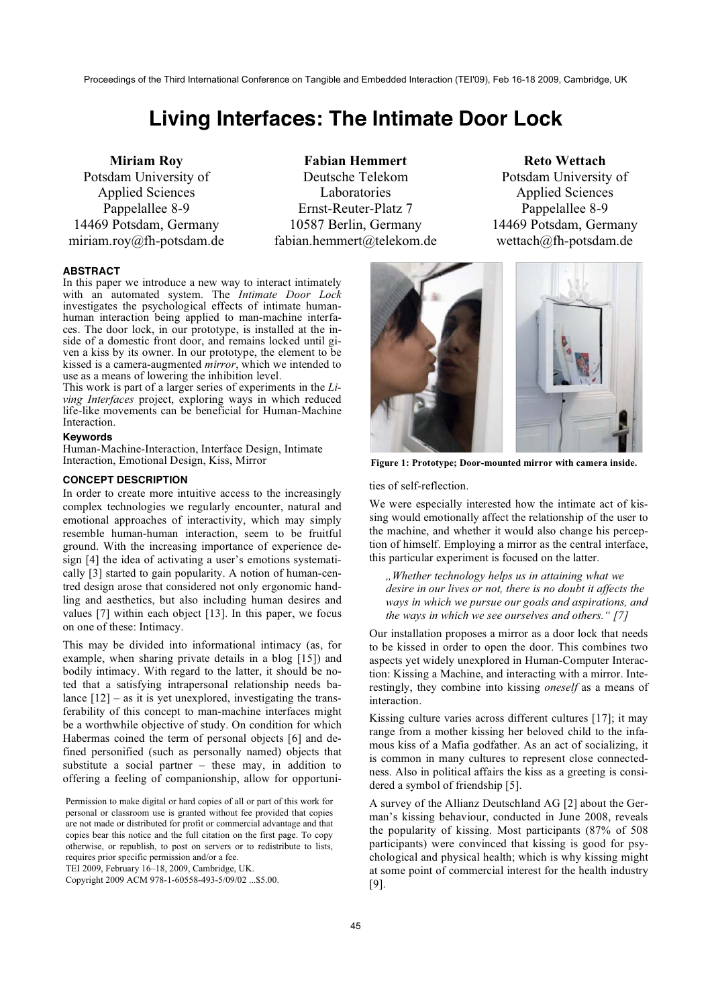Proceedings of the Third International Conference on Tangible and Embedded Interaction (TEI'09), Feb 16-18 2009, Cambridge, UK

# **Living Interfaces: The Intimate Door Lock**

**Miriam Roy**  Potsdam University of Applied Sciences Pappelallee 8-9 14469 Potsdam, Germany miriam.roy@fh-potsdam.de

**Fabian Hemmert** Deutsche Telekom Laboratories Ernst-Reuter-Platz 7 10587 Berlin, Germany fabian.hemmert@telekom.de

**Reto Wettach**  Potsdam University of Applied Sciences Pappelallee 8-9 14469 Potsdam, Germany wettach@fh-potsdam.de

#### **ABSTRACT**

In this paper we introduce a new way to interact intimately with an automated system. The *Intimate Door Lock* investigates the psychological effects of intimate humanhuman interaction being applied to man-machine interfaces. The door lock, in our prototype, is installed at the inside of a domestic front door, and remains locked until given a kiss by its owner. In our prototype, the element to be kissed is a camera-augmented *mirror*, which we intended to use as a means of lowering the inhibition level.

This work is part of a larger series of experiments in the *Living Interfaces* project, exploring ways in which reduced life-like movements can be beneficial for Human-Machine Interaction.

### **Keywords**

Human-Machine-Interaction, Interface Design, Intimate Interaction, Emotional Design, Kiss, Mirror

## **CONCEPT DESCRIPTION**

In order to create more intuitive access to the increasingly complex technologies we regularly encounter, natural and emotional approaches of interactivity, which may simply resemble human-human interaction, seem to be fruitful ground. With the increasing importance of experience design [4] the idea of activating a user's emotions systematically [3] started to gain popularity. A notion of human-centred design arose that considered not only ergonomic handling and aesthetics, but also including human desires and values [7] within each object [13]. In this paper, we focus on one of these: Intimacy.

This may be divided into informational intimacy (as, for example, when sharing private details in a blog [15]) and bodily intimacy. With regard to the latter, it should be noted that a satisfying intrapersonal relationship needs balance  $[12]$  – as it is yet unexplored, investigating the transferability of this concept to man-machine interfaces might be a worthwhile objective of study. On condition for which Habermas coined the term of personal objects [6] and defined personified (such as personally named) objects that substitute a social partner – these may, in addition to offering a feeling of companionship, allow for opportuni-

Permission to make digital or hard copies of all or part of this work for personal or classroom use is granted without fee provided that copies are not made or distributed for profit or commercial advantage and that copies bear this notice and the full citation on the first page. To copy otherwise, or republish, to post on servers or to redistribute to lists, requires prior specific permission and/or a fee.

TEI 2009, February 16–18, 2009, Cambridge, UK.

Copyright 2009 ACM 978-1-60558-493-5/09/02 ...\$5.00.



**Figure 1: Prototype; Door-mounted mirror with camera inside.** 

#### ties of self-reflection.

We were especially interested how the intimate act of kissing would emotionally affect the relationship of the user to the machine, and whether it would also change his perception of himself. Employing a mirror as the central interface, this particular experiment is focused on the latter.

*"Whether technology helps us in attaining what we desire in our lives or not, there is no doubt it affects the ways in which we pursue our goals and aspirations, and the ways in which we see ourselves and others." [7]*

Our installation proposes a mirror as a door lock that needs to be kissed in order to open the door. This combines two aspects yet widely unexplored in Human-Computer Interaction: Kissing a Machine, and interacting with a mirror. Interestingly, they combine into kissing *oneself* as a means of interaction.

Kissing culture varies across different cultures [17]; it may range from a mother kissing her beloved child to the infamous kiss of a Mafia godfather. As an act of socializing, it is common in many cultures to represent close connectedness. Also in political affairs the kiss as a greeting is considered a symbol of friendship [5].

A survey of the Allianz Deutschland AG [2] about the German's kissing behaviour, conducted in June 2008, reveals the popularity of kissing. Most participants (87% of 508 participants) were convinced that kissing is good for psychological and physical health; which is why kissing might at some point of commercial interest for the health industry [9].